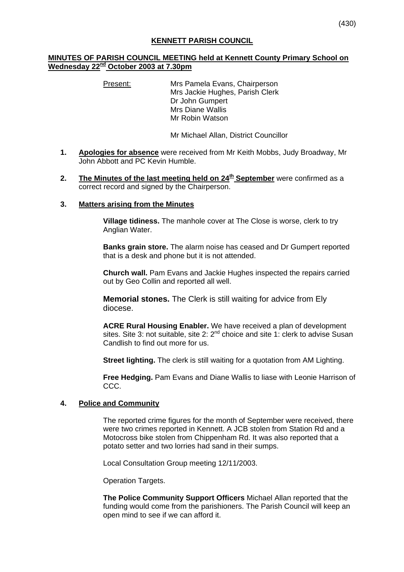# **MINUTES OF PARISH COUNCIL MEETING held at Kennett County Primary School on Wednesday 22nd October 2003 at 7.30pm**

Present: Mrs Pamela Evans, Chairperson Mrs Jackie Hughes, Parish Clerk Dr John Gumpert Mrs Diane Wallis Mr Robin Watson

Mr Michael Allan, District Councillor

- **1. Apologies for absence** were received from Mr Keith Mobbs, Judy Broadway, Mr John Abbott and PC Kevin Humble.
- **2.** The Minutes of the last meeting held on 24<sup>th</sup> September were confirmed as a correct record and signed by the Chairperson.

### **3. Matters arising from the Minutes**

**Village tidiness.** The manhole cover at The Close is worse, clerk to try Anglian Water.

**Banks grain store.** The alarm noise has ceased and Dr Gumpert reported that is a desk and phone but it is not attended.

**Church wall.** Pam Evans and Jackie Hughes inspected the repairs carried out by Geo Collin and reported all well.

**Memorial stones.** The Clerk is still waiting for advice from Ely diocese.

**ACRE Rural Housing Enabler.** We have received a plan of development sites. Site 3: not suitable, site 2: 2<sup>nd</sup> choice and site 1: clerk to advise Susan Candlish to find out more for us.

**Street lighting.** The clerk is still waiting for a quotation from AM Lighting.

**Free Hedging.** Pam Evans and Diane Wallis to liase with Leonie Harrison of CCC.

#### **4. Police and Community**

The reported crime figures for the month of September were received, there were two crimes reported in Kennett. A JCB stolen from Station Rd and a Motocross bike stolen from Chippenham Rd. It was also reported that a potato setter and two lorries had sand in their sumps.

Local Consultation Group meeting 12/11/2003.

Operation Targets.

**The Police Community Support Officers** Michael Allan reported that the funding would come from the parishioners. The Parish Council will keep an open mind to see if we can afford it.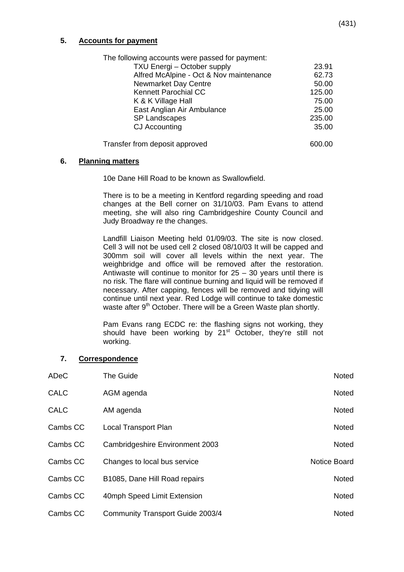# **5. Accounts for payment**

| The following accounts were passed for payment: |        |
|-------------------------------------------------|--------|
| TXU Energi - October supply                     | 23.91  |
| Alfred McAlpine - Oct & Nov maintenance         | 62.73  |
| <b>Newmarket Day Centre</b>                     | 50.00  |
| <b>Kennett Parochial CC</b>                     | 125.00 |
| K & K Village Hall                              | 75.00  |
| East Anglian Air Ambulance                      | 25.00  |
| <b>SP Landscapes</b>                            | 235.00 |
| CJ Accounting                                   | 35.00  |
| Transfer from deposit approved                  | 600.00 |

### **6. Planning matters**

10e Dane Hill Road to be known as Swallowfield.

 There is to be a meeting in Kentford regarding speeding and road changes at the Bell corner on 31/10/03. Pam Evans to attend meeting, she will also ring Cambridgeshire County Council and Judy Broadway re the changes.

 Landfill Liaison Meeting held 01/09/03. The site is now closed. Cell 3 will not be used cell 2 closed 08/10/03 It will be capped and 300mm soil will cover all levels within the next year. The weighbridge and office will be removed after the restoration. Antiwaste will continue to monitor for  $25 - 30$  years until there is no risk. The flare will continue burning and liquid will be removed if necessary. After capping, fences will be removed and tidying will continue until next year. Red Lodge will continue to take domestic waste after 9<sup>th</sup> October. There will be a Green Waste plan shortly.

 Pam Evans rang ECDC re: the flashing signs not working, they should have been working by  $21<sup>st</sup>$  October, they're still not working.

#### **7. Correspondence**

| ADeC        | The Guide                        | Noted        |
|-------------|----------------------------------|--------------|
| <b>CALC</b> | AGM agenda                       | Noted        |
| <b>CALC</b> | AM agenda                        | Noted        |
| Cambs CC    | <b>Local Transport Plan</b>      | Noted        |
| Cambs CC    | Cambridgeshire Environment 2003  | Noted        |
| Cambs CC    | Changes to local bus service     | Notice Board |
| Cambs CC    | B1085, Dane Hill Road repairs    | <b>Noted</b> |
| Cambs CC    | 40mph Speed Limit Extension      | Noted        |
| Cambs CC    | Community Transport Guide 2003/4 | Noted        |